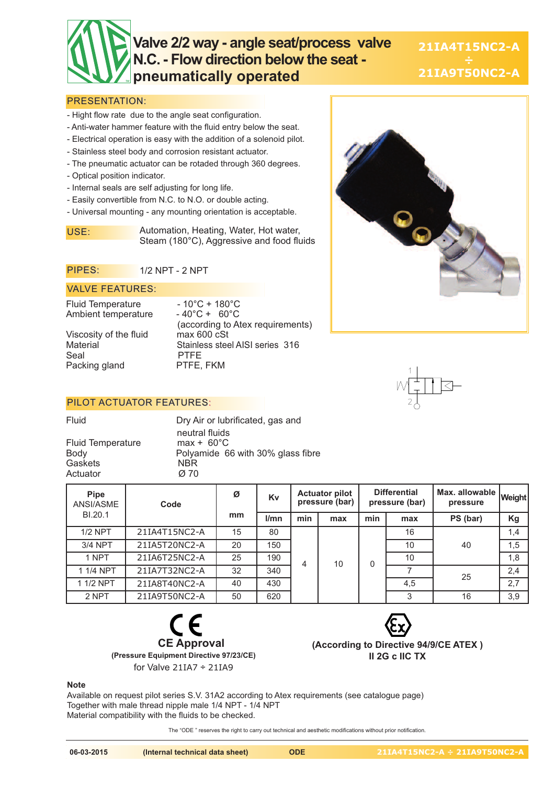# **Valve 2/2 way - angle seat/process valve N.C. - Flow direction below the seat pneumatically operated**

**21IA4T15NC2-A 21IA9T50NC2-A**

#### PRESENTATION:

- Hight flow rate due to the angle seat configuration.
- Anti-water hammer feature with the fluid entry below the seat.
- Electrical operation is easy with the addition of a solenoid pilot.
- Stainless steel body and corrosion resistant actuator.
- The pneumatic actuator can be rotaded through 360 degrees.
- Optical position indicator.
- Internal seals are self adjusting for long life.
- Easily convertible from N.C. to N.O. or double acting.
- Universal mounting any mounting orientation is acceptable.

USE: Automation, Heating, Water, Hot water, Steam (180°C), Aggressive and food fluids

#### PIPES: 1/2 NPT - 2 NPT

#### VALVE FEATURES:

Fluid Temperature  $-10^{\circ}$ C + 180°C<br>Ambient temperature  $-40^{\circ}$ C + 60°C Ambient temperature

Viscosity of the fluid<br>Material Seal PTFE<br>Packing gland PTFE, FKM Packing gland

(according to Atex requirements) Stainless steel AISI series 316

### PILOT ACTUATOR FEATURES:

Fluid Temperature<br>Body Gaskets NBR<br>Actuator *Ø* 70 Actuator

Fluid Dry Air or lubrificated, gas and neutral fluids<br>max +  $60^{\circ}$ C Polyamide 66 with 30% glass fibre<br>NBR

| <b>Pipe</b><br>ANSI/ASME | Code          | Ø  | Kv   | <b>Actuator pilot</b><br>pressure (bar) |     | <b>Differential</b><br>pressure (bar) |     | Max. allowable I<br>pressure | <b>Weight</b> |
|--------------------------|---------------|----|------|-----------------------------------------|-----|---------------------------------------|-----|------------------------------|---------------|
| BI.20.1                  |               | mm | l/mn | min                                     | max | min                                   | max | PS (bar)                     | Kg            |
| $1/2$ NPT                | 21IA4T15NC2-A | 15 | 80   |                                         |     | $\mathbf 0$                           | 16  | 40                           | 1,4           |
| 3/4 NPT                  | 21IA5T20NC2-A | 20 | 150  |                                         |     |                                       | 10  |                              | 1,5           |
| 1 NPT                    | 21IA6T25NC2-A | 25 | 190  | 4                                       | 10  |                                       | 10  |                              | 1,8           |
| 1 1/4 NPT                | 21IA7T32NC2-A | 32 | 340  |                                         |     |                                       |     | 25                           | 2,4           |
| 1 1/2 NPT                | 21IA8T40NC2-A | 40 | 430  |                                         |     |                                       | 4.5 |                              | 2,7           |
| 2 NPT                    | 21IA9T50NC2-A | 50 | 620  |                                         |     |                                       | 3   | 16                           | 3,9           |





**(According to Directive 94/9/CE ATEX ) II 2G c IIC TX**

#### **Note**

Available on request pilot series S.V. 31A2 according to Atex requirements (see catalogue page) Together with male thread nipple male 1/4 NPT - 1/4 NPT Material compatibility with the fluids to be checked.

The "ODE " reserves the right to carry out technical and aesthetic modifications without prior notification.